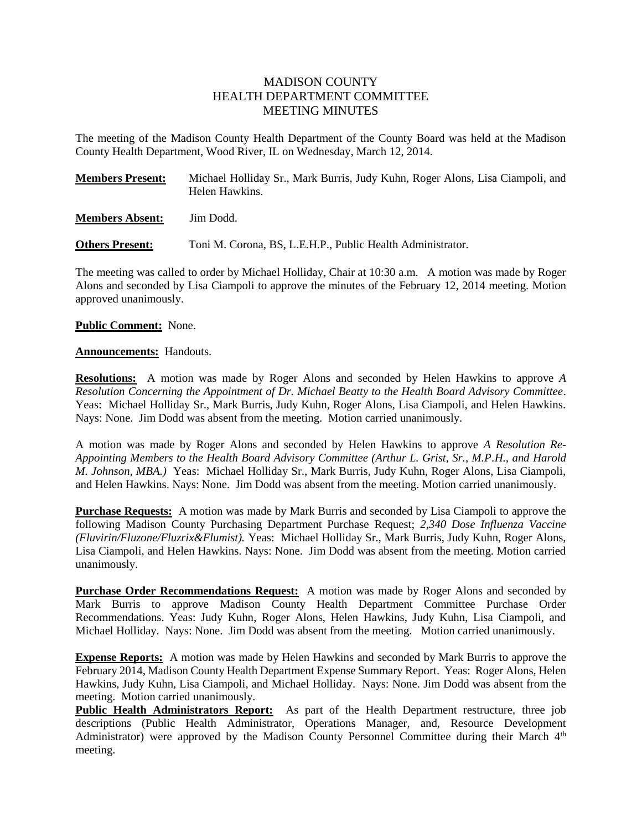# MADISON COUNTY HEALTH DEPARTMENT COMMITTEE MEETING MINUTES

The meeting of the Madison County Health Department of the County Board was held at the Madison County Health Department, Wood River, IL on Wednesday, March 12, 2014.

| <b>Members Present:</b> | Michael Holliday Sr., Mark Burris, Judy Kuhn, Roger Alons, Lisa Ciampoli, and<br>Helen Hawkins. |
|-------------------------|-------------------------------------------------------------------------------------------------|
| <b>Members Absent:</b>  | Jim Dodd.                                                                                       |

**Others Present:** Toni M. Corona, BS, L.E.H.P., Public Health Administrator.

The meeting was called to order by Michael Holliday, Chair at 10:30 a.m. A motion was made by Roger Alons and seconded by Lisa Ciampoli to approve the minutes of the February 12, 2014 meeting. Motion approved unanimously.

# **Public Comment:** None.

# **Announcements:** Handouts.

**Resolutions:** A motion was made by Roger Alons and seconded by Helen Hawkins to approve *A Resolution Concerning the Appointment of Dr. Michael Beatty to the Health Board Advisory Committee*. Yeas: Michael Holliday Sr., Mark Burris, Judy Kuhn, Roger Alons, Lisa Ciampoli, and Helen Hawkins. Nays: None. Jim Dodd was absent from the meeting. Motion carried unanimously.

A motion was made by Roger Alons and seconded by Helen Hawkins to approve *A Resolution Re-Appointing Members to the Health Board Advisory Committee (Arthur L. Grist, Sr., M.P.H., and Harold M. Johnson, MBA.)* Yeas: Michael Holliday Sr., Mark Burris, Judy Kuhn, Roger Alons, Lisa Ciampoli, and Helen Hawkins. Nays: None. Jim Dodd was absent from the meeting. Motion carried unanimously.

**Purchase Requests:** A motion was made by Mark Burris and seconded by Lisa Ciampoli to approve the following Madison County Purchasing Department Purchase Request; *2,340 Dose Influenza Vaccine (Fluvirin/Fluzone/Fluzrix&Flumist).* Yeas: Michael Holliday Sr., Mark Burris, Judy Kuhn, Roger Alons, Lisa Ciampoli, and Helen Hawkins. Nays: None. Jim Dodd was absent from the meeting. Motion carried unanimously.

**Purchase Order Recommendations Request:** A motion was made by Roger Alons and seconded by Mark Burris to approve Madison County Health Department Committee Purchase Order Recommendations. Yeas: Judy Kuhn, Roger Alons, Helen Hawkins, Judy Kuhn, Lisa Ciampoli, and Michael Holliday. Nays: None. Jim Dodd was absent from the meeting. Motion carried unanimously.

**Expense Reports:** A motion was made by Helen Hawkins and seconded by Mark Burris to approve the February 2014, Madison County Health Department Expense Summary Report. Yeas: Roger Alons, Helen Hawkins, Judy Kuhn, Lisa Ciampoli, and Michael Holliday. Nays: None. Jim Dodd was absent from the meeting. Motion carried unanimously.

**Public Health Administrators Report:** As part of the Health Department restructure, three job descriptions (Public Health Administrator, Operations Manager, and, Resource Development Administrator) were approved by the Madison County Personnel Committee during their March  $4<sup>th</sup>$ meeting.